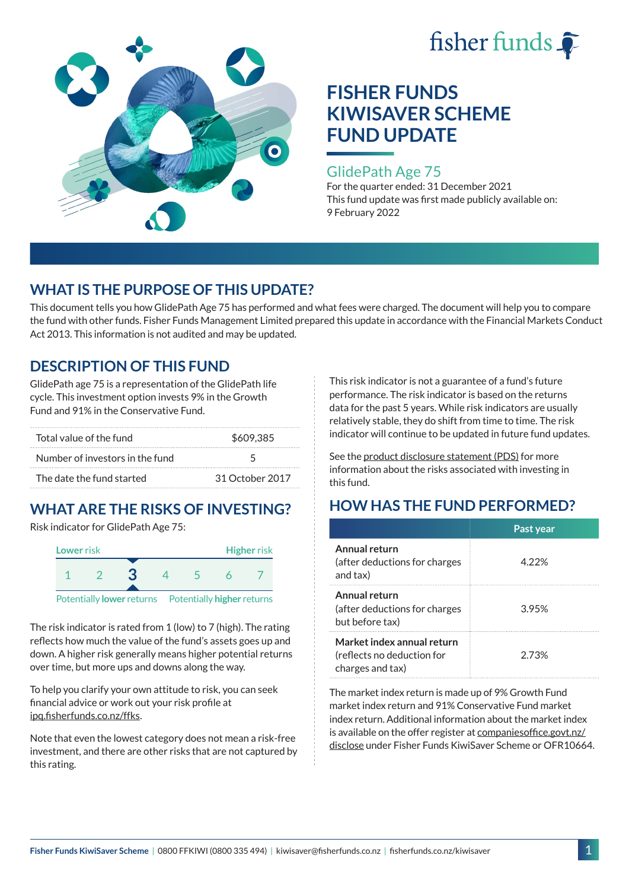



### GlidePath Age 75

For the quarter ended: 31 December 2021 This fund update was first made publicly available on: 9 February 2022

# **WHAT IS THE PURPOSE OF THIS UPDATE?**

This document tells you how GlidePath Age 75 has performed and what fees were charged. The document will help you to compare the fund with other funds. Fisher Funds Management Limited prepared this update in accordance with the Financial Markets Conduct Act 2013. This information is not audited and may be updated.

# **DESCRIPTION OF THIS FUND**

GlidePath age 75 is a representation of the GlidePath life cycle. This investment option invests 9% in the Growth Fund and 91% in the Conservative Fund.

| Total value of the fund         | \$609,385       |  |
|---------------------------------|-----------------|--|
| Number of investors in the fund | ᡃ               |  |
| The date the fund started       | 31 October 2017 |  |

# **WHAT ARE THE RISKS OF INVESTING?**

Risk indicator for GlidePath Age 75:



Potentially **lower** returns Potentially **higher** returns

The risk indicator is rated from 1 (low) to 7 (high). The rating reflects how much the value of the fund's assets goes up and down. A higher risk generally means higher potential returns over time, but more ups and downs along the way.

To help you clarify your own attitude to risk, you can seek financial advice or work out your risk profile at [ipq.fisherfunds.co.nz/ffks](https://ipq.fisherfunds.co.nz/ffks).

Note that even the lowest category does not mean a risk-free investment, and there are other risks that are not captured by this rating.

This risk indicator is not a guarantee of a fund's future performance. The risk indicator is based on the returns data for the past 5 years. While risk indicators are usually relatively stable, they do shift from time to time. The risk indicator will continue to be updated in future fund updates.

See the [product disclosure statement \(PDS\)](https://fisherfunds.co.nz/assets/PDS/Fisher-Funds-KiwiSaver-Scheme-PDS.pdf) for more information about the risks associated with investing in this fund.

# **HOW HAS THE FUND PERFORMED?**

|                                                                              | Past year |
|------------------------------------------------------------------------------|-----------|
| Annual return<br>(after deductions for charges<br>and tax)                   | 4.22%     |
| Annual return<br>(after deductions for charges<br>but before tax)            | 3.95%     |
| Market index annual return<br>(reflects no deduction for<br>charges and tax) | 2 73%     |

The market index return is made up of 9% Growth Fund market index return and 91% Conservative Fund market index return. Additional information about the market index is available on the offer register at [companiesoffice.govt.nz/](http://companiesoffice.govt.nz/disclose) [disclose](http://companiesoffice.govt.nz/disclose) under Fisher Funds KiwiSaver Scheme or OFR10664.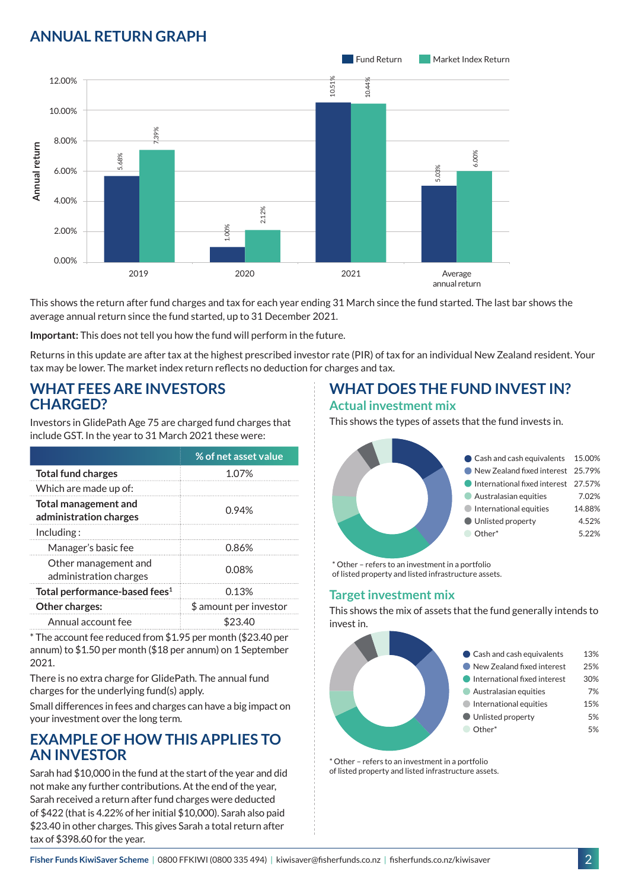# **ANNUAL RETURN GRAPH**



This shows the return after fund charges and tax for each year ending 31 March since the fund started. The last bar shows the average annual return since the fund started, up to 31 December 2021.

**Important:** This does not tell you how the fund will perform in the future.

Returns in this update are after tax at the highest prescribed investor rate (PIR) of tax for an individual New Zealand resident. Your tax may be lower. The market index return reflects no deduction for charges and tax.

### **WHAT FEES ARE INVESTORS CHARGED?**

Investors in GlidePath Age 75 are charged fund charges that include GST. In the year to 31 March 2021 these were:

|                                                         | % of net asset value   |  |
|---------------------------------------------------------|------------------------|--|
| <b>Total fund charges</b>                               | 1.07%                  |  |
| Which are made up of:                                   |                        |  |
| <b>Total management and</b><br>administration charges   | 0.94%                  |  |
| Inding:                                                 |                        |  |
| Manager's basic fee                                     | 0.86%                  |  |
| Other management and<br>0.08%<br>administration charges |                        |  |
| Total performance-based fees <sup>1</sup>               | 0.13%                  |  |
| Other charges:                                          | \$ amount per investor |  |
| Annual account fee                                      | 23.40                  |  |

\* The account fee reduced from \$1.95 per month (\$23.40 per annum) to \$1.50 per month (\$18 per annum) on 1 September 2021.

There is no extra charge for GlidePath. The annual fund charges for the underlying fund(s) apply.

Small differences in fees and charges can have a big impact on your investment over the long term.

## **EXAMPLE OF HOW THIS APPLIES TO AN INVESTOR**

Sarah had \$10,000 in the fund at the start of the year and did not make any further contributions. At the end of the year, Sarah received a return after fund charges were deducted of \$422 (that is 4.22% of her initial \$10,000). Sarah also paid \$23.40 in other charges. This gives Sarah a total return after tax of \$398.60 for the year.

# **WHAT DOES THE FUND INVEST IN?**

#### **Actual investment mix**

This shows the types of assets that the fund invests in.



\* Other – refers to an investment in a portfolio of listed property and listed infrastructure assets.

### **Target investment mix**

This shows the mix of assets that the fund generally intends to invest in.



\* Other – refers to an investment in a portfolio of listed property and listed infrastructure assets.